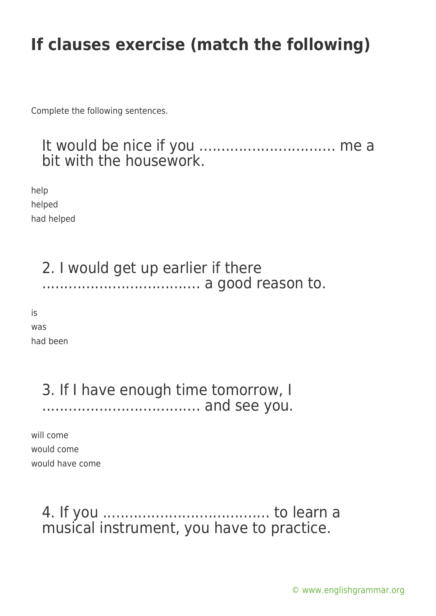Complete the following sentences.

### It would be nice if you ................................. me a bit with the housework.

help helped had helped

### 2. I would get up earlier if there .................................... a good reason to.

is

was had been

### 3. If I have enough time tomorrow, I .................................... and see you.

will come would come would have come

## 4. If you ...................................... to learn a musical instrument, you have to practice.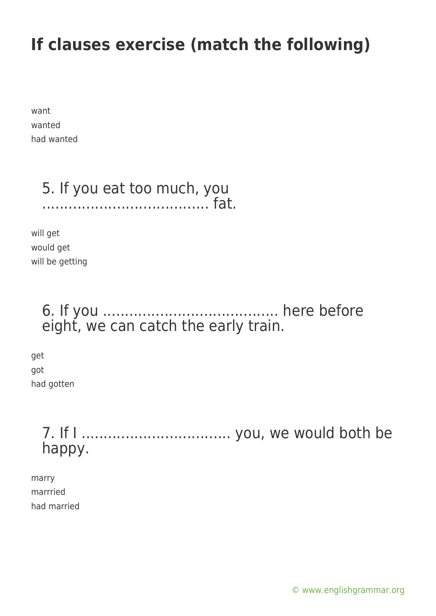want wanted had wanted

# 5. If you eat too much, you

...................................... fat.

will get would get will be getting

## 6. If you ........................................ here before eight, we can catch the early train.

get got had gotten

> 7. If I .................................. you, we would both be happy.

marry marrried had married

[© www.englishgrammar.org](https://www.englishgrammar.org/)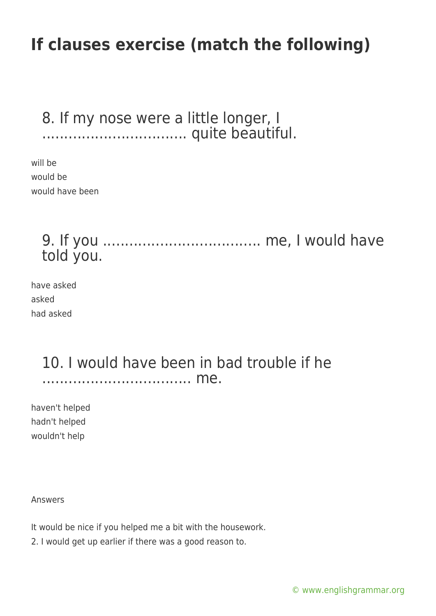#### 8. If my nose were a little longer, I ................................. quite beautiful.

will be would be would have been

> 9. If you .................................... me, I would have told you.

have asked asked had asked

### 10. I would have been in bad trouble if he .................................. me.

haven't helped hadn't helped wouldn't help

Answers

It would be nice if you helped me a bit with the housework.

2. I would get up earlier if there was a good reason to.